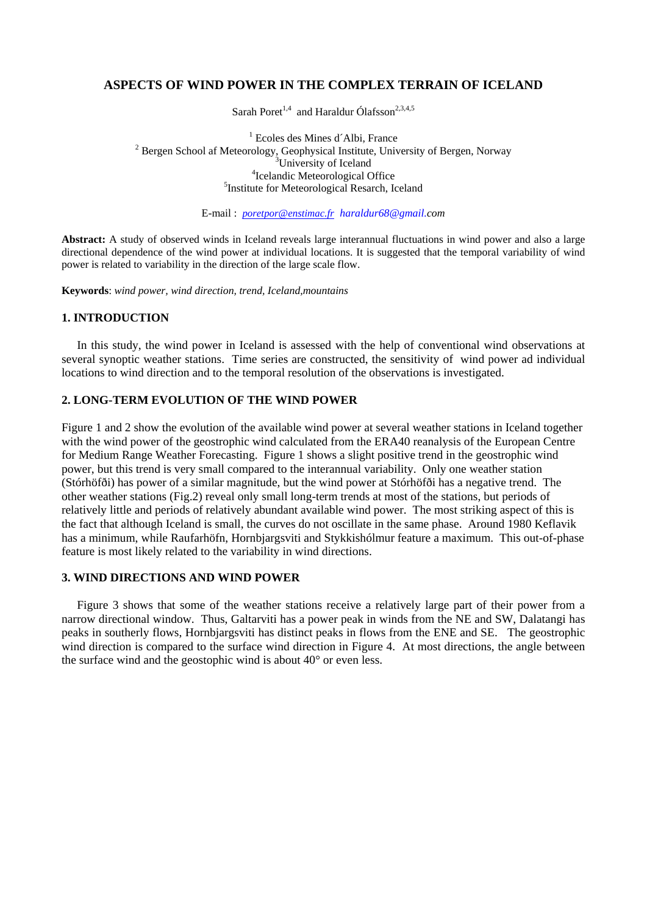## **ASPECTS OF WIND POWER IN THE COMPLEX TERRAIN OF ICELAND**

Sarah Poret<sup>1,4</sup> and Haraldur Ólafsson<sup>2,3,4,5</sup>

<sup>1</sup> Ecoles des Mines d'Albi, France  $\frac{1}{2}$ Ecoles des Mines d´Albi, France Bergen School af Meteorology, Geophysical Institute, University of Bergen, Norway 3  ${}^{3}$ University of Iceland <sup>4</sup>Icelandic Meteorological Office <sup>5</sup>Institute for Meteorological Resarch, Iceland

E-mail : *poretpor@enstimac.fr haraldur68@gmail.com*

**Abstract:** A study of observed winds in Iceland reveals large interannual fluctuations in wind power and also a large directional dependence of the wind power at individual locations. It is suggested that the temporal variability of wind power is related to variability in the direction of the large scale flow.

**Keywords**: *wind power, wind direction, trend, Iceland,mountains* 

## **1. INTRODUCTION**

In this study, the wind power in Iceland is assessed with the help of conventional wind observations at several synoptic weather stations. Time series are constructed, the sensitivity of wind power ad individual locations to wind direction and to the temporal resolution of the observations is investigated.

## **2. LONG-TERM EVOLUTION OF THE WIND POWER**

Figure 1 and 2 show the evolution of the available wind power at several weather stations in Iceland together with the wind power of the geostrophic wind calculated from the ERA40 reanalysis of the European Centre for Medium Range Weather Forecasting. Figure 1 shows a slight positive trend in the geostrophic wind power, but this trend is very small compared to the interannual variability. Only one weather station (Stórhöfði) has power of a similar magnitude, but the wind power at Stórhöfði has a negative trend. The other weather stations (Fig.2) reveal only small long-term trends at most of the stations, but periods of relatively little and periods of relatively abundant available wind power. The most striking aspect of this is the fact that although Iceland is small, the curves do not oscillate in the same phase. Around 1980 Keflavik has a minimum, while Raufarhöfn, Hornbjargsviti and Stykkishólmur feature a maximum. This out-of-phase feature is most likely related to the variability in wind directions.

## **3. WIND DIRECTIONS AND WIND POWER**

Figure 3 shows that some of the weather stations receive a relatively large part of their power from a narrow directional window. Thus, Galtarviti has a power peak in winds from the NE and SW, Dalatangi has peaks in southerly flows, Hornbjargsviti has distinct peaks in flows from the ENE and SE. The geostrophic wind direction is compared to the surface wind direction in Figure 4. At most directions, the angle between the surface wind and the geostophic wind is about 40° or even less.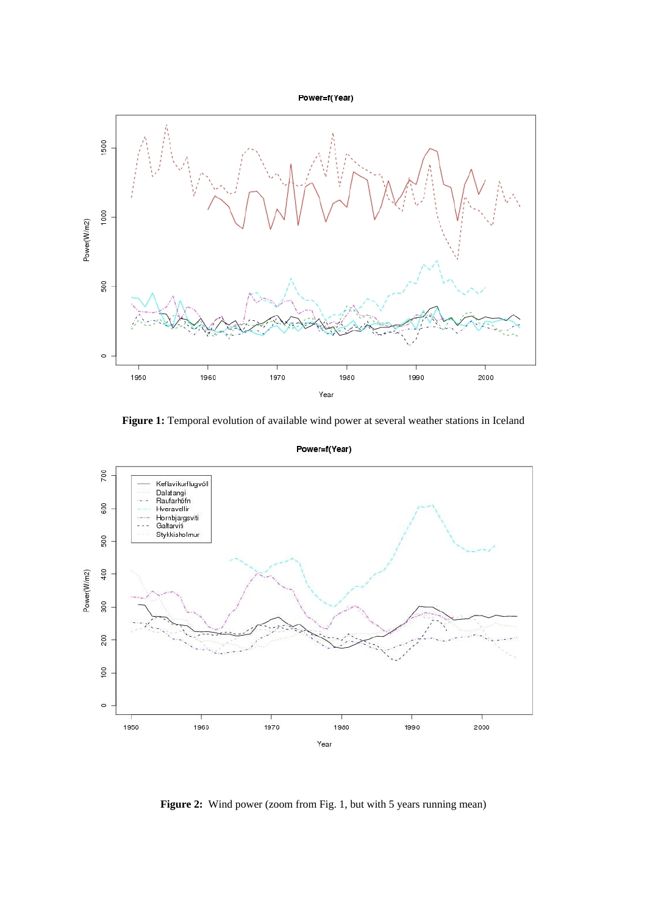Power=f(Year)



**Figure 1:** Temporal evolution of available wind power at several weather stations in Iceland



Power=f(Year)

Figure 2: Wind power (zoom from Fig. 1, but with 5 years running mean)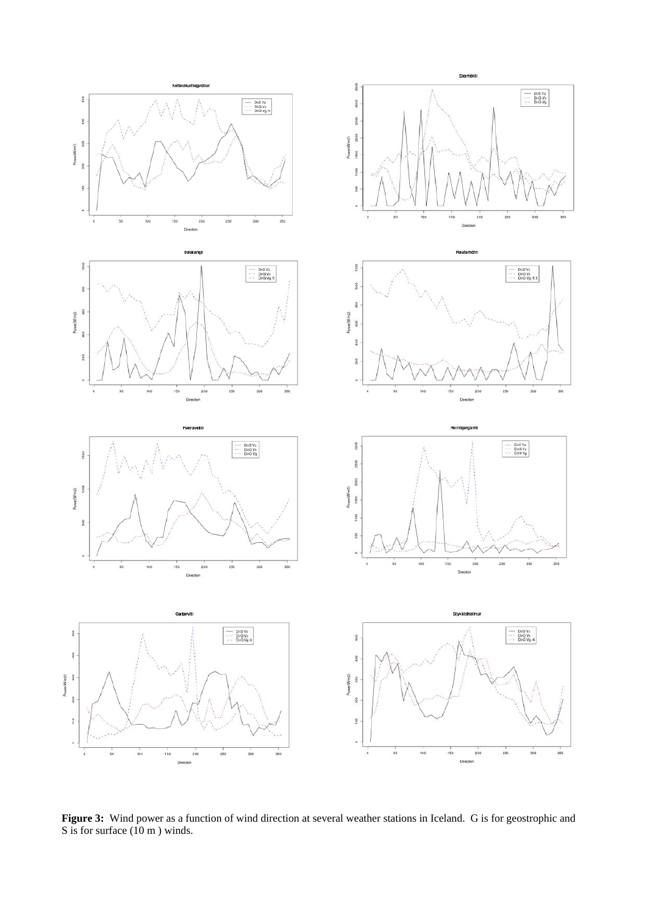

**Figure 3:** Wind power as a function of wind direction at several weather stations in Iceland. G is for geostrophic and S is for surface (10 m ) winds.